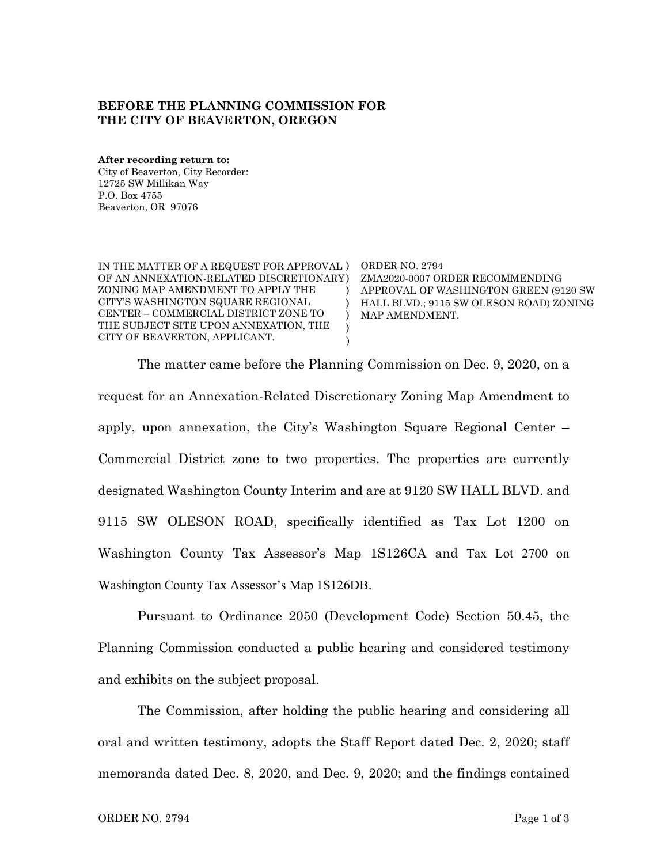## **BEFORE THE PLANNING COMMISSION FOR THE CITY OF BEAVERTON, OREGON**

**After recording return to:** City of Beaverton, City Recorder: 12725 SW Millikan Way P.O. Box 4755 Beaverton, OR 97076

| IN THE MATTER OF A REQUEST FOR APPROVAL )<br>OF AN ANNEXATION-RELATED DISCRETIONARY)<br>ZONING MAP AMENDMENT TO APPLY THE<br>CITY'S WASHINGTON SQUARE REGIONAL<br>CENTER – COMMERCIAL DISTRICT ZONE TO<br>THE SUBJECT SITE UPON ANNEXATION, THE<br>CITY OF BEAVERTON, APPLICANT. | ORDER NO. 2794<br>ZMA2020-0007 ORDER RECOMMENDING<br>APPROVAL OF WASHINGTON GREEN (9120 SW<br>HALL BLVD.; 9115 SW OLESON ROAD) ZONING<br>MAP AMENDMENT. |
|----------------------------------------------------------------------------------------------------------------------------------------------------------------------------------------------------------------------------------------------------------------------------------|---------------------------------------------------------------------------------------------------------------------------------------------------------|
|----------------------------------------------------------------------------------------------------------------------------------------------------------------------------------------------------------------------------------------------------------------------------------|---------------------------------------------------------------------------------------------------------------------------------------------------------|

The matter came before the Planning Commission on Dec. 9, 2020, on a request for an Annexation-Related Discretionary Zoning Map Amendment to apply, upon annexation, the City's Washington Square Regional Center – Commercial District zone to two properties. The properties are currently designated Washington County Interim and are at 9120 SW HALL BLVD. and 9115 SW OLESON ROAD, specifically identified as Tax Lot 1200 on Washington County Tax Assessor's Map 1S126CA and Tax Lot 2700 on Washington County Tax Assessor's Map 1S126DB.

Pursuant to Ordinance 2050 (Development Code) Section 50.45, the Planning Commission conducted a public hearing and considered testimony and exhibits on the subject proposal.

The Commission, after holding the public hearing and considering all oral and written testimony, adopts the Staff Report dated Dec. 2, 2020; staff memoranda dated Dec. 8, 2020, and Dec. 9, 2020; and the findings contained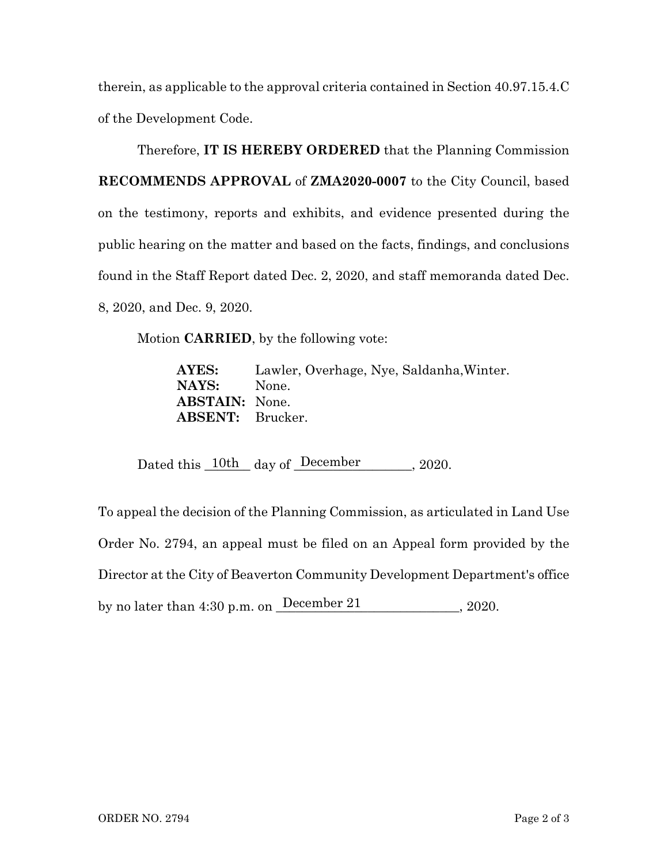therein, as applicable to the approval criteria contained in Section 40.97.15.4.C of the Development Code.

Therefore, **IT IS HEREBY ORDERED** that the Planning Commission **RECOMMENDS APPROVAL** of **ZMA2020-0007** to the City Council, based on the testimony, reports and exhibits, and evidence presented during the public hearing on the matter and based on the facts, findings, and conclusions found in the Staff Report dated Dec. 2, 2020, and staff memoranda dated Dec. 8, 2020, and Dec. 9, 2020.

Motion **CARRIED**, by the following vote:

**AYES:** Lawler, Overhage, Nye, Saldanha,Winter. **NAYS:** None. **ABSTAIN:** None. **ABSENT:** Brucker.

Dated this  $\frac{10\text{th}}{2020}$  day of  $\frac{\text{December}}{2020}$ .

To appeal the decision of the Planning Commission, as articulated in Land Use Order No. 2794, an appeal must be filed on an Appeal form provided by the Director at the City of Beaverton Community Development Department's office Dated this 10th day of December 1, 2020.<br>
To appeal the decision of the Planning Commission, as articulated if<br>
Order No. 2794, an appeal must be filed on an Appeal form prov<br>
Director at the City of Beaverton Community De